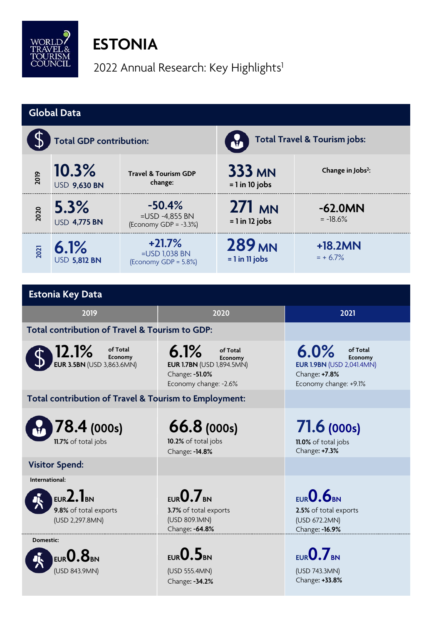

## **ESTONIA**

2022 Annual Research: Key Highlights<sup>1</sup>

| <b>Global Data</b>                                               |                              |                                                        |                                                                                                            |                                                 |                                                                                                           |  |  |  |
|------------------------------------------------------------------|------------------------------|--------------------------------------------------------|------------------------------------------------------------------------------------------------------------|-------------------------------------------------|-----------------------------------------------------------------------------------------------------------|--|--|--|
|                                                                  | Total GDP contribution:      |                                                        |                                                                                                            | <b>Total Travel &amp; Tourism jobs:</b>         |                                                                                                           |  |  |  |
| 2019                                                             | 10.3%<br><b>USD 9,630 BN</b> | <b>Travel &amp; Tourism GDP</b><br>change:             |                                                                                                            | <b>333 MN</b><br>$= 1$ in 10 jobs               | Change in Jobs <sup>2</sup> :                                                                             |  |  |  |
| 2020                                                             | 5.3%<br><b>USD 4,775 BN</b>  | $-50.4%$<br>=USD -4,855 BN<br>(Economy GDP = $-3.3%$ ) |                                                                                                            | 271 MN<br>$= 1$ in 12 jobs                      | $-62.0MN$<br>$= -18.6%$                                                                                   |  |  |  |
| 2021                                                             | 6.1%<br><b>USD 5,812 BN</b>  | $+21.7%$<br>$=$ USD 1,038 BN<br>(Economy GDP = 5.8%)   |                                                                                                            | 289 <sub>MN</sub><br>$= 1$ in 11 jobs           | $+18.2MN$<br>$= + 6.7\%$                                                                                  |  |  |  |
|                                                                  |                              |                                                        |                                                                                                            |                                                 |                                                                                                           |  |  |  |
|                                                                  | <b>Estonia Key Data</b>      |                                                        |                                                                                                            |                                                 |                                                                                                           |  |  |  |
| 2019                                                             |                              |                                                        | 2020                                                                                                       |                                                 | 2021                                                                                                      |  |  |  |
| Total contribution of Travel & Tourism to GDP:                   |                              |                                                        |                                                                                                            |                                                 |                                                                                                           |  |  |  |
| 12.1%<br>of Total<br>Economy<br><b>EUR 3.5BN</b> (USD 3,863.6MN) |                              |                                                        | 6.1%<br>of Total<br>Economy<br><b>EUR 1.7BN</b> (USD 1,894.5MN)<br>Change: -51.0%<br>Economy change: -2.6% |                                                 | 6.0%<br>of Total<br>Economy<br><b>EUR 1.9BN (USD 2,041.4MN)</b><br>Change: +7.8%<br>Economy change: +9.1% |  |  |  |
| Total contribution of Travel & Tourism to Employment:            |                              |                                                        |                                                                                                            |                                                 |                                                                                                           |  |  |  |
| 78.4 (000s)<br>11.7% of total jobs                               |                              |                                                        | 66.8(000s)<br>10.2% of total jobs<br>Change: - 14.8%                                                       |                                                 | 71.6 (000s)<br>11.0% of total jobs<br>Change: +7.3%                                                       |  |  |  |
| <b>Visitor Spend:</b>                                            |                              |                                                        |                                                                                                            |                                                 |                                                                                                           |  |  |  |
| International:                                                   |                              |                                                        |                                                                                                            |                                                 |                                                                                                           |  |  |  |
| $EUR2.1_{BN}$<br>9.8% of total exports<br>(USD 2,297.8MN)        |                              |                                                        | $EUR$ 0.7 BN<br>3.7% of total exports<br>(USD 809.1MN)<br>Change: -64.8%                                   |                                                 | EUR 0.6BN<br>2.5% of total exports<br>(USD 672.2MN)<br>Change: - 16.9%                                    |  |  |  |
| Domestic:                                                        |                              |                                                        |                                                                                                            |                                                 |                                                                                                           |  |  |  |
| EUR $\mathbf{0.8}_\text{\tiny BN}$<br>(USD 843.9MN)              |                              | EUR <b>O.5</b> BN<br>(USD 555.4MN)<br>Change: -34.2%   |                                                                                                            | EUR $0.7$ BN<br>(USD 743.3MN)<br>Change: +33.8% |                                                                                                           |  |  |  |